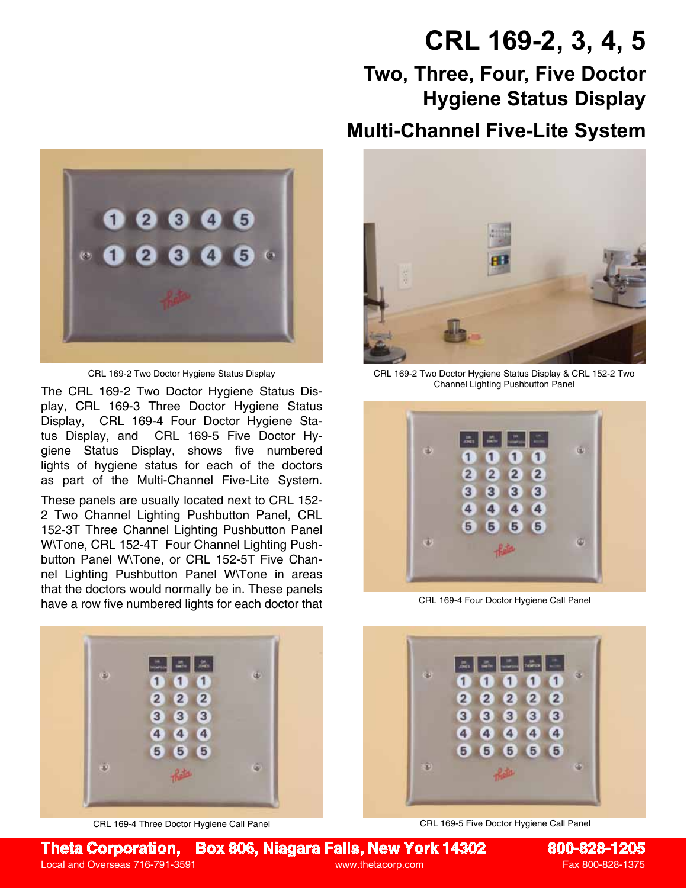## **CRL 169-2, 3, 4, 5**

## **Two, Three, Four, Five Doctor Hygiene Status Display Multi-Channel Five-Lite System**



The CRL 169-2 Two Doctor Hygiene Status Display, CRL 169-3 Three Doctor Hygiene Status Display, CRL 169-4 Four Doctor Hygiene Status Display, and CRL 169-5 Five Doctor Hygiene Status Display, shows five numbered lights of hygiene status for each of the doctors as part of the Multi-Channel Five-Lite System.

These panels are usually located next to CRL 152- 2 Two Channel Lighting Pushbutton Panel, CRL 152-3T Three Channel Lighting Pushbutton Panel W\Tone, CRL 152-4T Four Channel Lighting Pushbutton Panel W\Tone, or CRL 152-5T Five Channel Lighting Pushbutton Panel W\Tone in areas that the doctors would normally be in. These panels have a row five numbered lights for each doctor that



CRL 169-4 Three Doctor Hygiene Call Panel



CRL 169-2 Two Doctor Hygiene Status Display CRL 169-2 Two Doctor Hygiene Status Display & CRL 152-2 Two Channel Lighting Pushbutton Panel



CRL 169-4 Four Doctor Hygiene Call Panel



CRL 169-5 Five Doctor Hygiene Call Panel

## **Theta Corporation, Box 806, Niagara Falls, New York 14302 800-828-1205**

Local and Overseas 716-791-3591 www.thetacorp.com Fax 800-828-1375